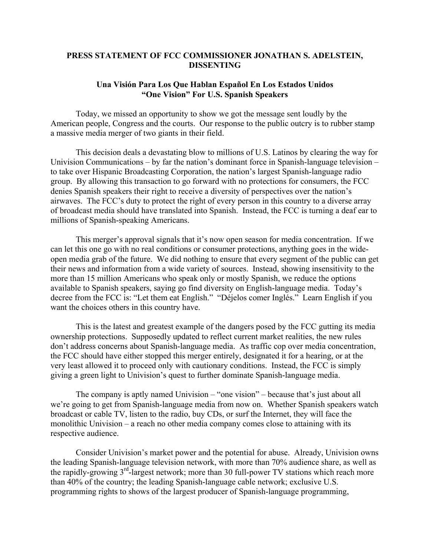## **PRESS STATEMENT OF FCC COMMISSIONER JONATHAN S. ADELSTEIN, DISSENTING**

## **Una Visión Para Los Que Hablan Español En Los Estados Unidos "One Vision" For U.S. Spanish Speakers**

Today, we missed an opportunity to show we got the message sent loudly by the American people, Congress and the courts. Our response to the public outcry is to rubber stamp a massive media merger of two giants in their field.

This decision deals a devastating blow to millions of U.S. Latinos by clearing the way for Univision Communications – by far the nation's dominant force in Spanish-language television – to take over Hispanic Broadcasting Corporation, the nation's largest Spanish-language radio group. By allowing this transaction to go forward with no protections for consumers, the FCC denies Spanish speakers their right to receive a diversity of perspectives over the nation's airwaves. The FCC's duty to protect the right of every person in this country to a diverse array of broadcast media should have translated into Spanish. Instead, the FCC is turning a deaf ear to millions of Spanish-speaking Americans.

 This merger's approval signals that it's now open season for media concentration. If we can let this one go with no real conditions or consumer protections, anything goes in the wideopen media grab of the future. We did nothing to ensure that every segment of the public can get their news and information from a wide variety of sources. Instead, showing insensitivity to the more than 15 million Americans who speak only or mostly Spanish, we reduce the options available to Spanish speakers, saying go find diversity on English-language media. Today's decree from the FCC is: "Let them eat English." "Déjelos comer Inglés." Learn English if you want the choices others in this country have.

This is the latest and greatest example of the dangers posed by the FCC gutting its media ownership protections. Supposedly updated to reflect current market realities, the new rules don't address concerns about Spanish-language media. As traffic cop over media concentration, the FCC should have either stopped this merger entirely, designated it for a hearing, or at the very least allowed it to proceed only with cautionary conditions. Instead, the FCC is simply giving a green light to Univision's quest to further dominate Spanish-language media.

The company is aptly named Univision – "one vision" – because that's just about all we're going to get from Spanish-language media from now on. Whether Spanish speakers watch broadcast or cable TV, listen to the radio, buy CDs, or surf the Internet, they will face the monolithic Univision – a reach no other media company comes close to attaining with its respective audience.

Consider Univision's market power and the potential for abuse. Already, Univision owns the leading Spanish-language television network, with more than 70% audience share, as well as the rapidly-growing 3rd-largest network; more than 30 full-power TV stations which reach more than 40% of the country; the leading Spanish-language cable network; exclusive U.S. programming rights to shows of the largest producer of Spanish-language programming,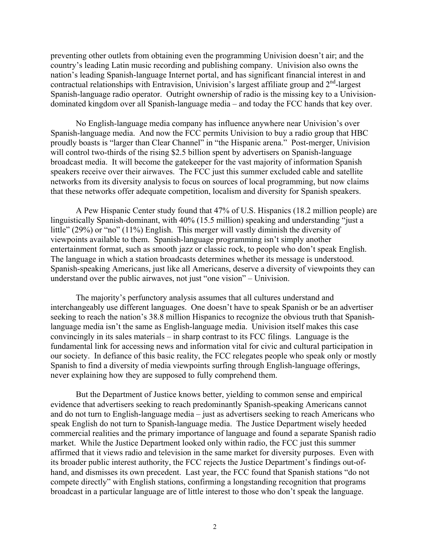preventing other outlets from obtaining even the programming Univision doesn't air; and the country's leading Latin music recording and publishing company. Univision also owns the nation's leading Spanish-language Internet portal, and has significant financial interest in and contractual relationships with Entravision, Univision's largest affiliate group and  $2<sup>nd</sup>$ -largest Spanish-language radio operator. Outright ownership of radio is the missing key to a Univisiondominated kingdom over all Spanish-language media – and today the FCC hands that key over.

No English-language media company has influence anywhere near Univision's over Spanish-language media. And now the FCC permits Univision to buy a radio group that HBC proudly boasts is "larger than Clear Channel" in "the Hispanic arena." Post-merger, Univision will control two-thirds of the rising \$2.5 billion spent by advertisers on Spanish-language broadcast media. It will become the gatekeeper for the vast majority of information Spanish speakers receive over their airwaves. The FCC just this summer excluded cable and satellite networks from its diversity analysis to focus on sources of local programming, but now claims that these networks offer adequate competition, localism and diversity for Spanish speakers.

A Pew Hispanic Center study found that 47% of U.S. Hispanics (18.2 million people) are linguistically Spanish-dominant, with 40% (15.5 million) speaking and understanding "just a little" (29%) or "no" (11%) English. This merger will vastly diminish the diversity of viewpoints available to them. Spanish-language programming isn't simply another entertainment format, such as smooth jazz or classic rock, to people who don't speak English. The language in which a station broadcasts determines whether its message is understood. Spanish-speaking Americans, just like all Americans, deserve a diversity of viewpoints they can understand over the public airwaves, not just "one vision" – Univision.

The majority's perfunctory analysis assumes that all cultures understand and interchangeably use different languages. One doesn't have to speak Spanish or be an advertiser seeking to reach the nation's 38.8 million Hispanics to recognize the obvious truth that Spanishlanguage media isn't the same as English-language media. Univision itself makes this case convincingly in its sales materials – in sharp contrast to its FCC filings. Language is the fundamental link for accessing news and information vital for civic and cultural participation in our society. In defiance of this basic reality, the FCC relegates people who speak only or mostly Spanish to find a diversity of media viewpoints surfing through English-language offerings, never explaining how they are supposed to fully comprehend them.

But the Department of Justice knows better, yielding to common sense and empirical evidence that advertisers seeking to reach predominantly Spanish-speaking Americans cannot and do not turn to English-language media – just as advertisers seeking to reach Americans who speak English do not turn to Spanish-language media. The Justice Department wisely heeded commercial realities and the primary importance of language and found a separate Spanish radio market. While the Justice Department looked only within radio, the FCC just this summer affirmed that it views radio and television in the same market for diversity purposes. Even with its broader public interest authority, the FCC rejects the Justice Department's findings out-ofhand, and dismisses its own precedent. Last year, the FCC found that Spanish stations "do not compete directly" with English stations, confirming a longstanding recognition that programs broadcast in a particular language are of little interest to those who don't speak the language.